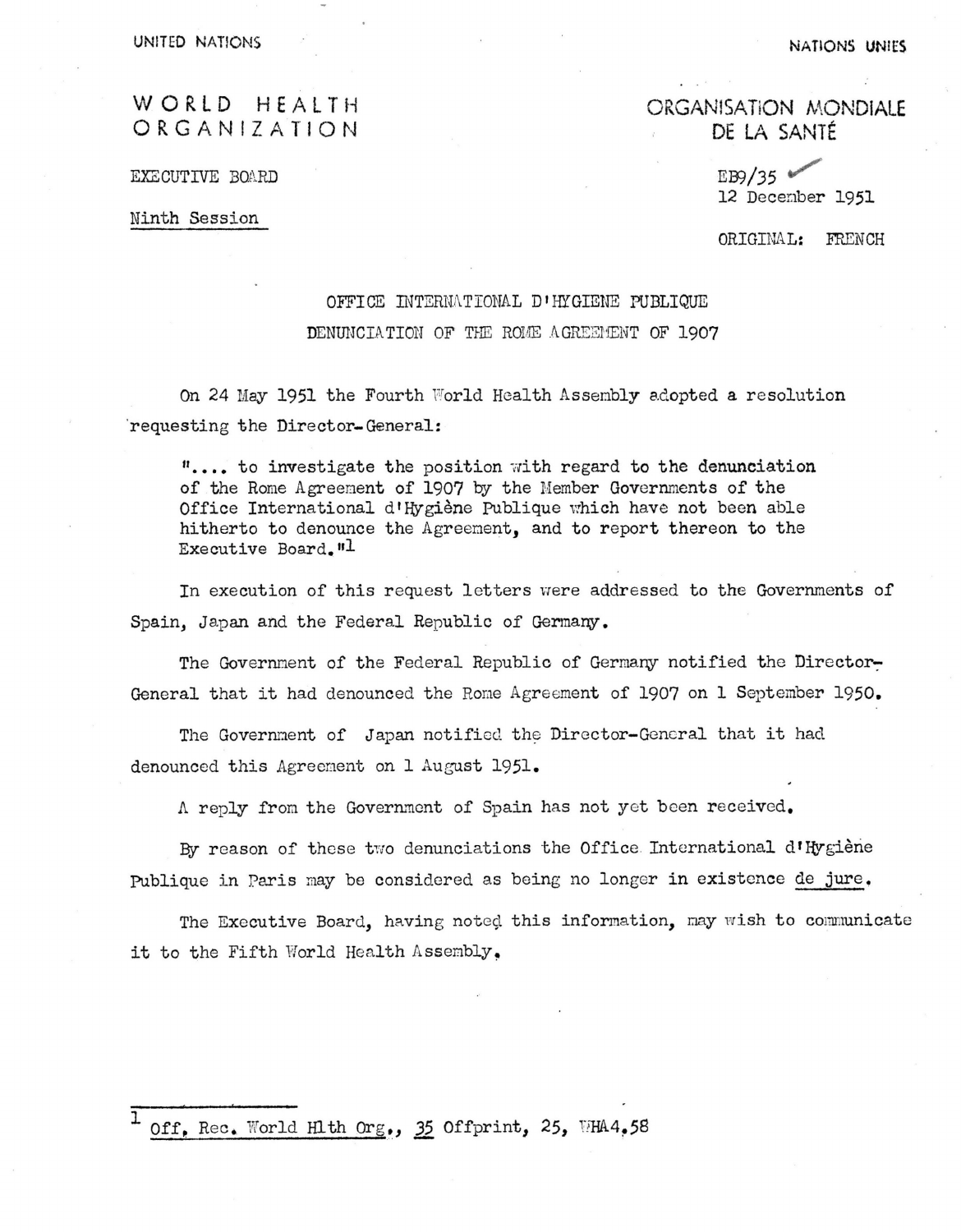UNITED NATIONS NATIONS NATIONS NATIONS UNITED

# WORLD HEALTH ORGANIZATIO N

EXECUTIVE BOARD

Ninth Session

**ORGANISATION MONDIALE DE LA SANTÉ** 

> *m/35 ^*  12 December 1951

ORIGINAL: FRENCH

## OFFICE INTERNATIONAL D»HTGIENE PUBLIQUE

#### DENUNCIATION OF THE ROME AGREEMENT OF 1907

On 24 Hay 1951 the Fourth World Health Assembly adopted a resolution requesting the Director- General:

 $"$ .... to investigate the position with regard to the denunciation. of the Rome Agreement of 1907 by the Member Governments of the Office International d'Hygiène Publique which have not been able hitherto to denounce the Agreement, and to report thereon to the Executive Board."1

In execution of this request letters were addressed to the Governments of Spain, Japan and the Federal Republic of Germany.

The Government of the Federal Republic of Germany notified the Director-General that it had denounced the Rome Agreement of 1907 on 1 September 1950,

The Governnent of Japan notified the Diroctor-Genoral that it had denounced this Agreement on 1 August 1951.

Л reply from the Government of Spain has not yet been received.

By reason of these two denunciations the Office International d'Hygiène Publique in Paris may be considered as being no longer in existence de jure.

The Executive Board, having noted this information, may wish to communicate it to the Fifth World Health Assembly.

1 Off, Rec. World Hlth Org., 35 Offprint, 25, WHA4.58